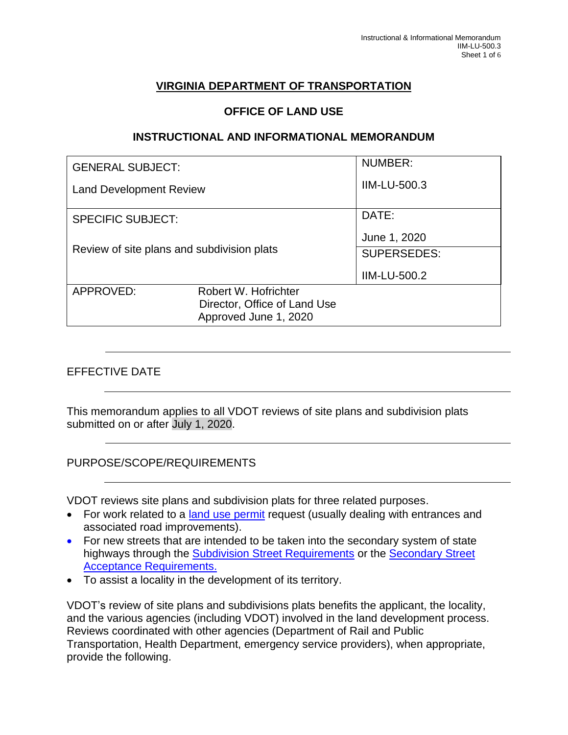# **VIRGINIA DEPARTMENT OF TRANSPORTATION**

#### **OFFICE OF LAND USE**

#### **INSTRUCTIONAL AND INFORMATIONAL MEMORANDUM**

|                                            | NUMBER:                      |
|--------------------------------------------|------------------------------|
| <b>Land Development Review</b>             | <b>IIM-LU-500.3</b>          |
|                                            | DATE:                        |
| Review of site plans and subdivision plats | June 1, 2020                 |
|                                            | <b>SUPERSEDES:</b>           |
|                                            | <b>IIM-LU-500.2</b>          |
| Robert W. Hofrichter                       |                              |
| Approved June 1, 2020                      |                              |
|                                            | Director, Office of Land Use |

### EFFECTIVE DATE

This memorandum applies to all VDOT reviews of site plans and subdivision plats submitted on or after July 1, 2020.

#### PURPOSE/SCOPE/REQUIREMENTS

VDOT reviews site plans and subdivision plats for three related purposes.

- For work related to a [land use permit](http://www.virginiadot.org/business/bu-landUsePermits.asp) request (usually dealing with entrances and associated road improvements).
- For new streets that are intended to be taken into the secondary system of state highways through the [Subdivision Street Requirements](https://law.lis.virginia.gov/admincode/title24/agency30/chapter91/) or the [Secondary Street](https://law.lis.virginia.gov/admincode/title24/agency30/chapter92/)  [Acceptance Requirements.](https://law.lis.virginia.gov/admincode/title24/agency30/chapter92/)
- To assist a locality in the development of its territory.

VDOT's review of site plans and subdivisions plats benefits the applicant, the locality, and the various agencies (including VDOT) involved in the land development process. Reviews coordinated with other agencies (Department of Rail and Public Transportation, Health Department, emergency service providers), when appropriate, provide the following.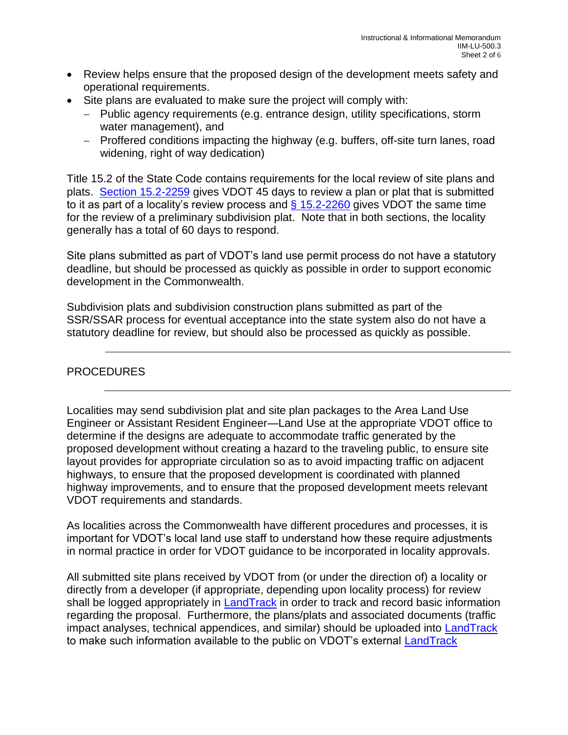- Review helps ensure that the proposed design of the development meets safety and operational requirements.
- Site plans are evaluated to make sure the project will comply with:
	- − Public agency requirements (e.g. entrance design, utility specifications, storm water management), and
	- − Proffered conditions impacting the highway (e.g. buffers, off-site turn lanes, road widening, right of way dedication)

Title 15.2 of the State Code contains requirements for the local review of site plans and plats. [Section 15.2-2259](https://law.lis.virginia.gov/vacode/15.2-2259/) gives VDOT 45 days to review a plan or plat that is submitted to it as part of a locality's review process and  $\frac{6}{15.2}$ -2260 gives VDOT the same time for the review of a preliminary subdivision plat. Note that in both sections, the locality generally has a total of 60 days to respond.

Site plans submitted as part of VDOT's land use permit process do not have a statutory deadline, but should be processed as quickly as possible in order to support economic development in the Commonwealth.

Subdivision plats and subdivision construction plans submitted as part of the SSR/SSAR process for eventual acceptance into the state system also do not have a statutory deadline for review, but should also be processed as quickly as possible.

# PROCEDURES

Localities may send subdivision plat and site plan packages to the Area Land Use Engineer or Assistant Resident Engineer—Land Use at the appropriate VDOT office to determine if the designs are adequate to accommodate traffic generated by the proposed development without creating a hazard to the traveling public, to ensure site layout provides for appropriate circulation so as to avoid impacting traffic on adjacent highways, to ensure that the proposed development is coordinated with planned highway improvements, and to ensure that the proposed development meets relevant VDOT requirements and standards.

As localities across the Commonwealth have different procedures and processes, it is important for VDOT's local land use staff to understand how these require adjustments in normal practice in order for VDOT guidance to be incorporated in locality approvals.

All submitted site plans received by VDOT from (or under the direction of) a locality or directly from a developer (if appropriate, depending upon locality process) for review shall be logged appropriately in [LandTrack](http://landtrack/?District=S) in order to track and record basic information regarding the proposal. Furthermore, the plans/plats and associated documents (traffic impact analyses, technical appendices, and similar) should be uploaded into [LandTrack](http://landtrack/?District=S) to make such information available to the public on VDOT's external [LandTrack](http://landtrx.vdot.virginia.gov/)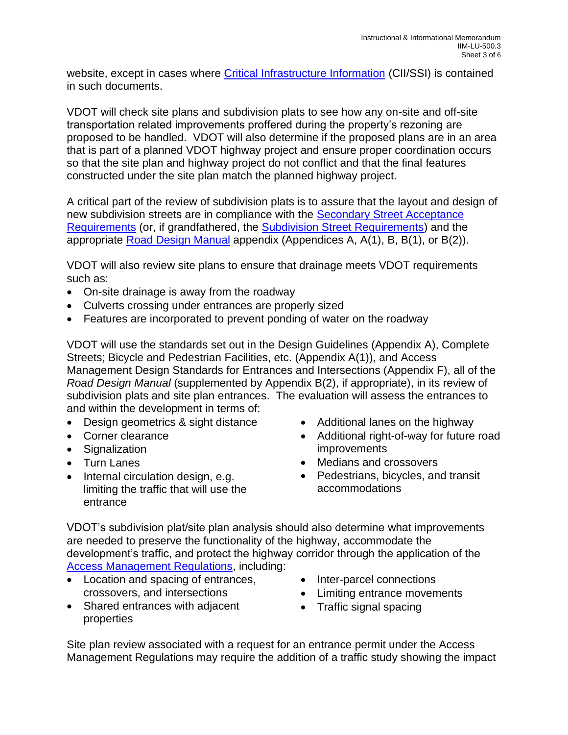website, except in cases where [Critical Infrastructure Information](https://insidevdot.cov.virginia.gov/district/FRE/SM/Shared%20Documents/) (CII/SSI) is contained in such documents.

VDOT will check site plans and subdivision plats to see how any on-site and off-site transportation related improvements proffered during the property's rezoning are proposed to be handled. VDOT will also determine if the proposed plans are in an area that is part of a planned VDOT highway project and ensure proper coordination occurs so that the site plan and highway project do not conflict and that the final features constructed under the site plan match the planned highway project.

A critical part of the review of subdivision plats is to assure that the layout and design of new subdivision streets are in compliance with the [Secondary Street Acceptance](http://www.virginiadot.org/info/secondary_street_acceptance_requirements.asp)  [Requirements](http://www.virginiadot.org/info/secondary_street_acceptance_requirements.asp) (or, if grandfathered, the [Subdivision Street Requirements\)](http://www.virginiadot.org/projects/ssr-rev.asp) and the appropriate [Road Design Manual](https://www.virginiadot.org/business/locdes/rdmanual-index.asp) appendix (Appendices A, A(1), B, B(1), or B(2)).

VDOT will also review site plans to ensure that drainage meets VDOT requirements such as:

- On-site drainage is away from the roadway
- Culverts crossing under entrances are properly sized
- Features are incorporated to prevent ponding of water on the roadway

VDOT will use the standards set out in the Design Guidelines (Appendix A), Complete Streets; Bicycle and Pedestrian Facilities, etc. (Appendix A(1)), and Access Management Design Standards for Entrances and Intersections (Appendix F), all of the *Road Design Manual* (supplemented by Appendix B(2), if appropriate), in its review of subdivision plats and site plan entrances. The evaluation will assess the entrances to and within the development in terms of:

- Design geometrics & sight distance
- Corner clearance
- Signalization
- Turn Lanes
- Internal circulation design, e.g. limiting the traffic that will use the entrance
- Additional lanes on the highway
- Additional right-of-way for future road improvements
- Medians and crossovers
- Pedestrians, bicycles, and transit accommodations

VDOT's subdivision plat/site plan analysis should also determine what improvements are needed to preserve the functionality of the highway, accommodate the development's traffic, and protect the highway corridor through the application of the [Access Management Regulations,](http://www.virginiadot.org/info/access_management_regulations_and_standards.asp) including:

- Location and spacing of entrances, crossovers, and intersections
- Shared entrances with adjacent properties
- Inter-parcel connections
- Limiting entrance movements
- Traffic signal spacing

Site plan review associated with a request for an entrance permit under the Access Management Regulations may require the addition of a traffic study showing the impact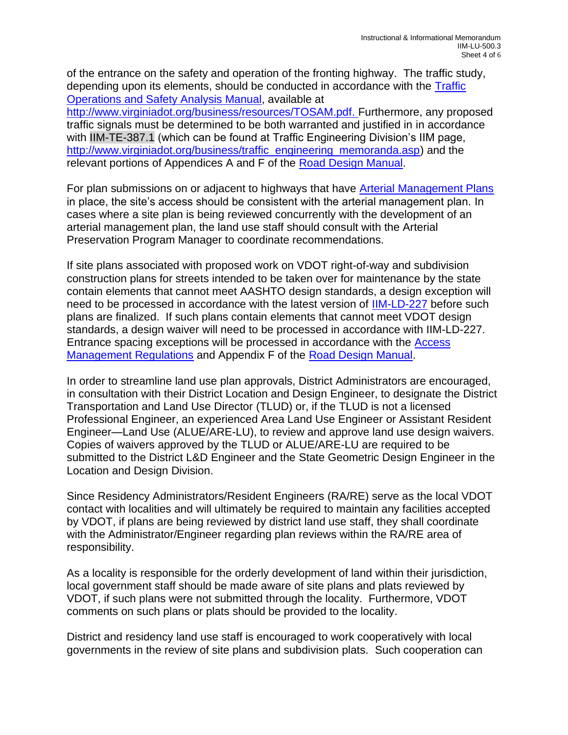of the entrance on the safety and operation of the fronting highway. The traffic study, depending upon its elements, should be conducted in accordance with the [Traffic](http://www.virginiadot.org/business/resources/TOSAM.pdf)  [Operations and Safety Analysis Manual,](http://www.virginiadot.org/business/resources/TOSAM.pdf) available at [http://www.virginiadot.org/business/resources/TOSAM.pdf.](http://www.virginiadot.org/business/resources/TOSAM.pdf) Furthermore, any proposed traffic signals must be determined to be both warranted and justified in in accordance with IIM-TE-387.1 (which can be found at Traffic Engineering Division's IIM page, [http://www.virginiadot.org/business/traffic\\_engineering\\_memoranda.asp\)](http://www.virginiadot.org/business/traffic_engineering_memoranda.asp) and the relevant portions of Appendices A and F of the [Road Design Manual.](https://www.virginiadot.org/business/locdes/rdmanual-index.asp)

For plan submissions on or adjacent to highways that have [Arterial Management Plans](http://www.virginiadot.org/projects/arterial_management_plans.asp) in place, the site's access should be consistent with the arterial management plan. In cases where a site plan is being reviewed concurrently with the development of an arterial management plan, the land use staff should consult with the Arterial Preservation Program Manager to coordinate recommendations.

If site plans associated with proposed work on VDOT right-of-way and subdivision construction plans for streets intended to be taken over for maintenance by the state contain elements that cannot meet AASHTO design standards, a design exception will need to be processed in accordance with the latest version of [IIM-LD-227](http://www.virginiadot.org/business/resources/LocDes/IIM/IIM227.pdf) before such plans are finalized. If such plans contain elements that cannot meet VDOT design standards, a design waiver will need to be processed in accordance with IIM-LD-227. Entrance spacing exceptions will be processed in accordance with the [Access](http://www.virginiadot.org/info/access_management_regulations_and_standards.asp)  [Management Regulations](http://www.virginiadot.org/info/access_management_regulations_and_standards.asp) and Appendix F of the [Road Design Manual.](https://www.virginiadot.org/business/locdes/rdmanual-index.asp)

In order to streamline land use plan approvals, District Administrators are encouraged, in consultation with their District Location and Design Engineer, to designate the District Transportation and Land Use Director (TLUD) or, if the TLUD is not a licensed Professional Engineer, an experienced Area Land Use Engineer or Assistant Resident Engineer—Land Use (ALUE/ARE-LU), to review and approve land use design waivers. Copies of waivers approved by the TLUD or ALUE/ARE-LU are required to be submitted to the District L&D Engineer and the State Geometric Design Engineer in the Location and Design Division.

Since Residency Administrators/Resident Engineers (RA/RE) serve as the local VDOT contact with localities and will ultimately be required to maintain any facilities accepted by VDOT, if plans are being reviewed by district land use staff, they shall coordinate with the Administrator/Engineer regarding plan reviews within the RA/RE area of responsibility.

As a locality is responsible for the orderly development of land within their jurisdiction, local government staff should be made aware of site plans and plats reviewed by VDOT, if such plans were not submitted through the locality. Furthermore, VDOT comments on such plans or plats should be provided to the locality.

District and residency land use staff is encouraged to work cooperatively with local governments in the review of site plans and subdivision plats. Such cooperation can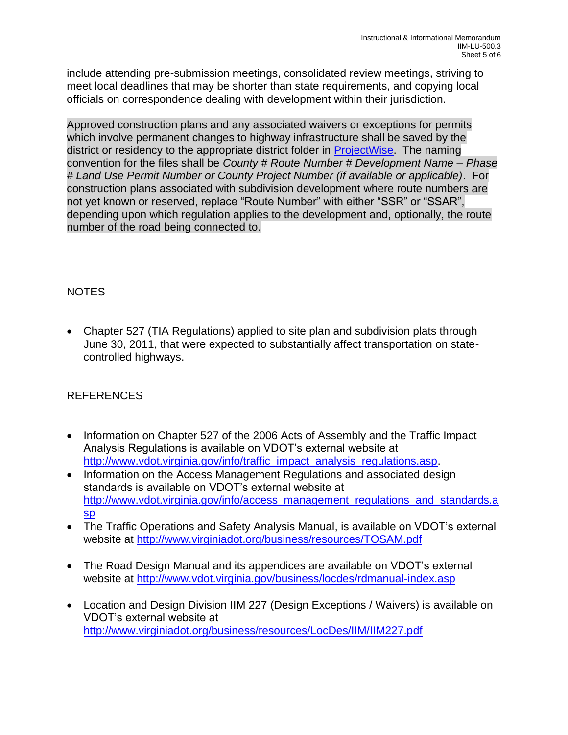include attending pre-submission meetings, consolidated review meetings, striving to meet local deadlines that may be shorter than state requirements, and copying local officials on correspondence dealing with development within their jurisdiction.

Approved construction plans and any associated waivers or exceptions for permits which involve permanent changes to highway infrastructure shall be saved by the district or residency to the appropriate district folder in [ProjectWise.](https://projectwise.vdot.virginia.gov/login.aspx) The naming convention for the files shall be *County # Route Number # Development Name – Phase # Land Use Permit Number or County Project Number (if available or applicable)*. For construction plans associated with subdivision development where route numbers are not yet known or reserved, replace "Route Number" with either "SSR" or "SSAR", depending upon which regulation applies to the development and, optionally, the route number of the road being connected to.

## NOTES

• Chapter 527 (TIA Regulations) applied to site plan and subdivision plats through June 30, 2011, that were expected to substantially affect transportation on statecontrolled highways.

# REFERENCES

- Information on Chapter 527 of the 2006 Acts of Assembly and the Traffic Impact Analysis Regulations is available on VDOT's external website at [http://www.vdot.virginia.gov/info/traffic\\_impact\\_analysis\\_regulations.asp.](http://www.vdot.virginia.gov/info/traffic_impact_analysis_regulations.asp)
- Information on the Access Management Regulations and associated design standards is available on VDOT's external website at [http://www.vdot.virginia.gov/info/access\\_management\\_regulations\\_and\\_standards.a](http://www.vdot.virginia.gov/info/access_management_regulations_and_standards.asp) [sp](http://www.vdot.virginia.gov/info/access_management_regulations_and_standards.asp)
- The Traffic Operations and Safety Analysis Manual, is available on VDOT's external website at<http://www.virginiadot.org/business/resources/TOSAM.pdf>
- The Road Design Manual and its appendices are available on VDOT's external website at<http://www.vdot.virginia.gov/business/locdes/rdmanual-index.asp>
- Location and Design Division IIM 227 (Design Exceptions / Waivers) is available on VDOT's external website at <http://www.virginiadot.org/business/resources/LocDes/IIM/IIM227.pdf>